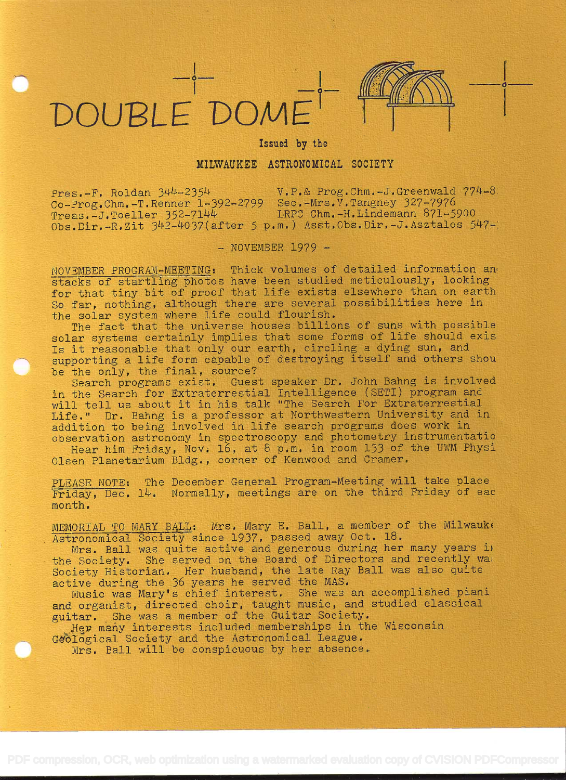



in the company of the company of

## Issued by the

## MILWAUKEE ASTRONOMICAL SOCIETY

Pres.-F. Roldan 344-2354 V.P.& Prog.Chm.-J.Greenwald 774-8. Co-Prog.Chm.-T.Renner 1-392-2799 Sec.-Mrs.V.Tangney 327-7976<br>Treas.-J.Toeller 352-7144 LRPC Chm.-H.Lindemann 871-5 LRPC Chm.-H.Lindemann 871-5900 Obs.Dir.-R.Zit 342-4037(after 5 p.m.) Asst.Obs.Dîr.-J.Asztalos 547-

 $-$  NOVEMBER 1979  $-$ 

NOVEMBER PROGRAM-MEETING: Thick volumes of detailed information an stacks of startling photos have been studied meticulously, looking for that tiny bit of proof that life exists elsewhere than on earth So far, nothing, although there are several possibilities here in the solar system where life could flourish.

The fact that the universe houses billions of suns with possible solar systems certainly implies that some forms of life should exis Is it reasonable that only our earth, circling a dying sun, and supporting a life form capable of destroying itself and others shou be the only, the final, source?

Search programs exist. Guest speaker Dr. John Bahng is involved in the Search for Extraterrestial Intelligence (SETI) program and will tell us about it in his talk "The Search For Extraterrestial Life." Dr. Bahng is a professor at Northwestern University and in addition to being involved in life search programs does work in observation astronomy in spectroscopy and photometry instrumentatio

Hear him Friday, Nov. 16, at 8 p.m. in room 133 of the UWM Physi Olsen Planetarium Bldg. , corner of Kenwood and Cramer.

PLEASE NOTE: The December General Program-Meeting will take place Friday, Dec. 14. Normally, meetings are on the third Friday of eac month.

MEMORIAL TO MARY BALL: Mrs. Mary E. Ball, a member of the Milwauke Astronomical Society since 1937, passed away Oct. 18.

Mrs. Ball was quite active and generous during her many years in the Society. She served on the Board of Directors and recently wa Society Historian. Her husband, the late Ray Ball was also quite active during the 36 years he served the MAS.

Music was Mary's chief interest, She was an accomplished piani and organist, directed choir, taught music, and studied classical guitar. She was a member of the Guitar Society.

Her many interests included memberships in the Wisconsin Geological Society and the Astronomical League.

Mrs. Ball will be conspicuous by her absence.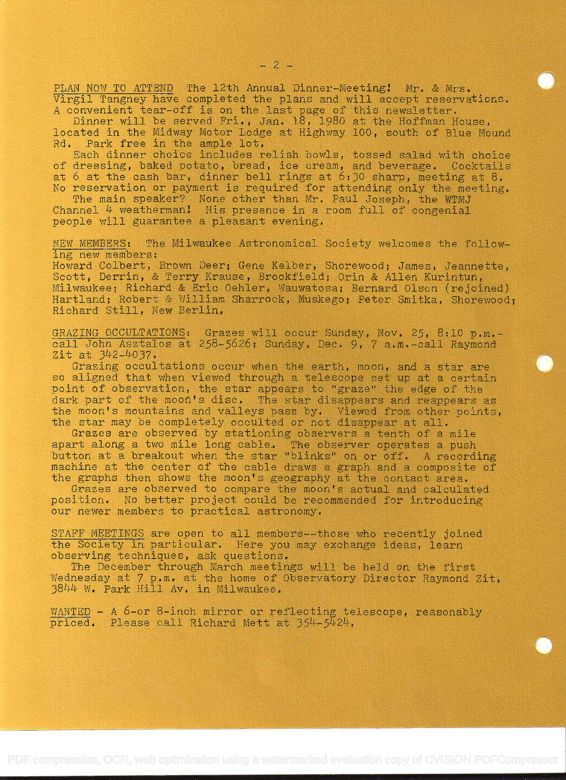PLAN NOW TO ATTEND The 12th Annual Dinner-Meeting: Mr. & Mrs. Virgil Tangney have completed the plans and will accept reservations.

A convenient tear-off is on the last page of this newsletter.<br>Dinner will be served Fri., Jan. 18, 1980 at the Hoffman House, located in the Midway Motor Lodge at Highway 100, south of Blue Mound Rd. Park free in the ample lot.

Each dinner choice includes relish bowls, tossed salad with choice of dressing, baked potato, bread, ice cream, and beverage. Cocktails at 6 at the cash bar, dinner bell rings at 6:30 sharp, meeting at 8. No reservation or payment is required for attending only the meeting. The main speaker? None other than Mr. Paul Joseph, the WTMJ

Channel  $4$  weatherman! His presence in a room full of congenial people will guarantee a pleasant evening.

NEW MEMBERS: The Milwaukee Astronomical Society welcomes the following new members:

Howard Colbert, Brown Deer; Gene Kelber, Shorewood; James, Jeannette, Scott, Derrin, & Terry Krause, Brookfield; Orin & Allen Kurintun, Milwaukee; Richard & Eric Oehler, Wauwatosa; Bernard Olson (rejoined) Hartland; Robert

GRAZING OCCULTATIONS: Grazes will occur Sunday, Nov. 25, 8:10 p.m.-<br>call John Asztalos at 258-5626; Sunday, Dec. 9, 7 a.m.-call Raymond<br>Zit at 342-4037.

Grazing occultations occur when the earth, moon, and a star are<br>so aligned that when viewed through a telescope set up at a certain so aligned that when viewed through a telescope set up at a certain point of observation, the star appears to "graze" the edge of the point of concivation, the star appears to grand the eage of the dark part of the moon's disc. The star disappears and reappears as the moon's mountains and valleys pass by. Viewed from other points, the star may be completely occulted or not disappear at all.

Grazes are observed by stationing observers a tenth of a mile apart along a two mile long cable. The observer operates a push button at a breakout when the star "blinks" on or off. A recording<br>machine at the center of the cable draws a graph and a composite of<br>the graphs then shows the moon's geography at the contact area.<br>Grazes are observed to

our newer members to practical astronomy.

STAFF MEETINGS are open to all members--those who recently joined<br>the Society in particular. Here you may exchange ideas, learn<br>observing techniques, ask questions.

The December through March meetings will be held on the first Wednesday at 7 p.m. at the home of Observatory Director Raymond Zit,<br>3844 W. Park Hill Av. in Milwaukee.

 $\frac{\text{WANTED}}{\text{priced.}}$  - A 6-or 8-inch mirror or reflecting telescope, reasonably priced. Please call Richard Mett at 354-5424.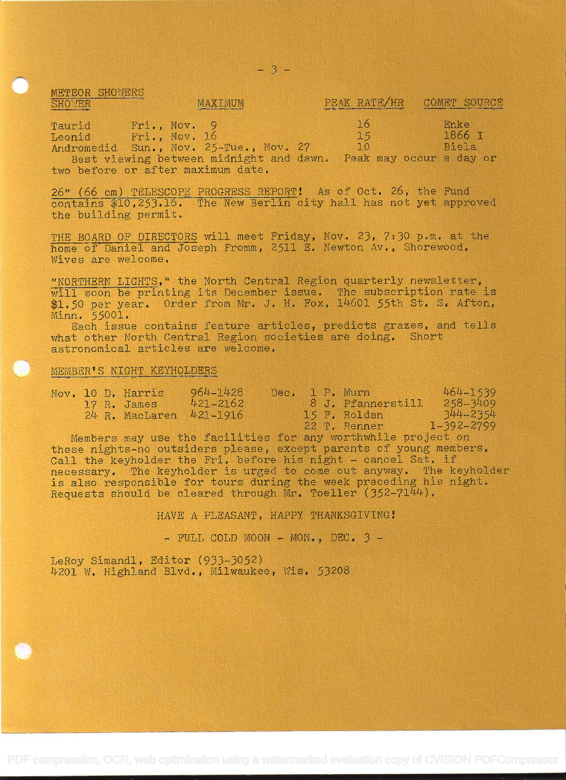| MRIDON MINTHIN<br>SHOWER<br>construction provided and Bulletin | MAXIMUM      | PEAK RATE/HR | COMET SOURCE<br>and another control and the state of the state of the state of the state of the state of the state of the state of the state of the state of the state of the state of the state of the state of the state of the state of the |  |
|----------------------------------------------------------------|--------------|--------------|------------------------------------------------------------------------------------------------------------------------------------------------------------------------------------------------------------------------------------------------|--|
| Taurid                                                         | Fri., Nov. 9 | <b>16</b>    | Enke<br>$70/77$                                                                                                                                                                                                                                |  |

Leonid Fri., Nov. 16 15 1866 I<br>Andromedid Sun., Nov. 25-Tue., Nov. 27 10 Biela Best viewing between midnight and dawn. Peak may occur a day or two before or after maximum date.

26" (66 cm) TELESCOPE PROGRESS REPORT! As of Oct. 26, the Fund contains \$10,253.16. The New Berlin city hall has not yet approved the building permit.

THE BOARD OF DIRECTORS will meet Friday, Nov. 23, 7:30 p.m. at the home of Daniel and Joseph Fromm, 2511 E. Newton Av., Shorewood. Wives are welcome.

"NORTHERN LIGHTS," the North Central Region quarterly newsletter, will soon be printing its December issue. The subscription rate is  $$1.50$  per year. Order from Mr. J. H. Fox, 14601 55th St. S. Afton, Minn. 55001.

Each issue contains feature articles, predicts grazes, and tells what other North Central Region societies are doing. Short astronomical articles are welcome.

## MEMBER'S NIGHT KEYHOLDERS

METEOR CHIOLOGIC

|  | Nov. 10 D. Harris | 964-1428     |  | Dec. 1 P. Murn    | 464-1539         |
|--|-------------------|--------------|--|-------------------|------------------|
|  | 17 R. James       | $421 - 2162$ |  | 8 J. Pfannerstill | $258 - 3409$     |
|  | 24 R. MacLaren    | $421 - 1916$ |  | 15 F. Roldan      | $344 - 2354$     |
|  |                   |              |  | 22 T. Renner      | $1 - 392 - 2799$ |

Members may use the facilities for any worthwhile project on these nights-no outsiders please, except parents of young members. Call the keyholder the Fri. before his night - cancel Sat. if necessary. The keyholder is urged to come out anyway. The keyholder is also responsible for tours during the week preceding his night. Requests should be cleared through Mr. Toeller  $(352-7144)$ .

HAVE A PLEASANT, HAPPY THANKSGIVING!

 $-$  FULL COLD MOON  $-$  MON., DEC.  $3 -$ 

LeRoy Simandl, Editor (933-3052) 4201 W. Highland Blvd., Milwaukee, Wis. 53208